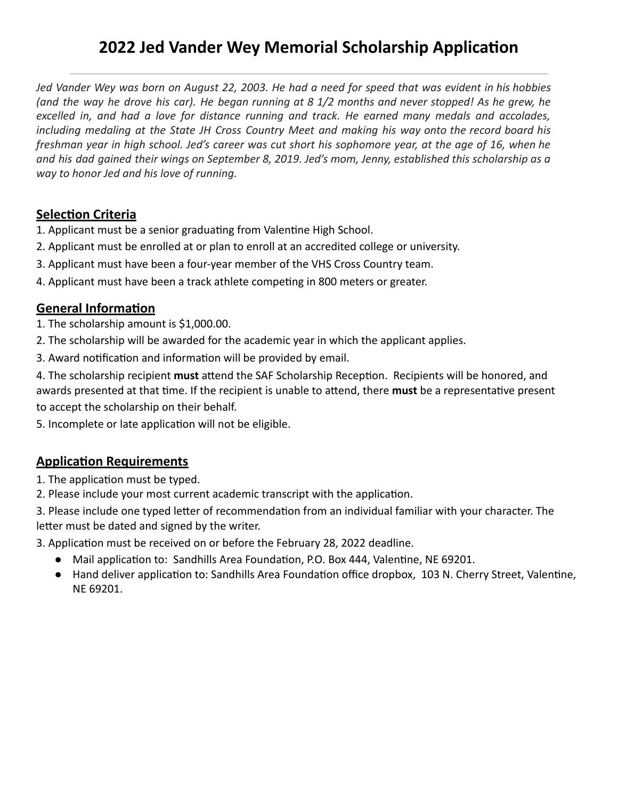# **2022 Jed Vander Wey Memorial Scholarship Application**

 *Jed Vander Wey was born on August 22, 2003. He had a need for speed that was evident in his hobbies (and the way he drove his car). He began running at 8 1/2 months and never stopped! As he grew, he excelled in, and had a love for distance running and track. He earned many medals and accolades, including medaling at the State JH Cross Country Meet and making his way onto the record board his freshman year in high school. Jed's career was cut short his sophomore year, at the age of 16, when he and his dad gained their wings on September 8, 2019. Jed's mom, Jenny, established this scholarship as a way to honor Jed and his love of running.* 

#### **Selection Criteria**

1. Applicant must be a senior graduating from Valentine High School.

- 2. Applicant must be enrolled at or plan to enroll at an accredited college or university.
- 3. Applicant must have been a four-year member of the VHS Cross Country team.
- 4. Applicant must have been a track athlete competing in 800 meters or greater.

#### **General Information**

1. The scholarship amount is \$1,000.00.

- 2. The scholarship will be awarded for the academic year in which the applicant applies.
- 3. Award notification and information will be provided by email.

4. The scholarship recipient **must** attend the SAF Scholarship Reception. Recipients will be honored, and awards presented at that time. If the recipient is unable to attend, there **must** be a representative present to accept the scholarship on their behalf.

5. Incomplete or late application will not be eligible.

### **Application Requirements**

1. The application must be typed.

2. Please include your most current academic transcript with the application.

3. Please include one typed letter of recommendation from an individual familiar with your character. The letter must be dated and signed by the writer.

3. Application must be received on or before the February 28, 2022 deadline.

- Mail application to: Sandhills Area Foundation, P.O. Box 444, Valentine, NE 69201.
- Hand deliver application to: Sandhills Area Foundation office dropbox, 103 N. Cherry Street, Valentine, NE 69201.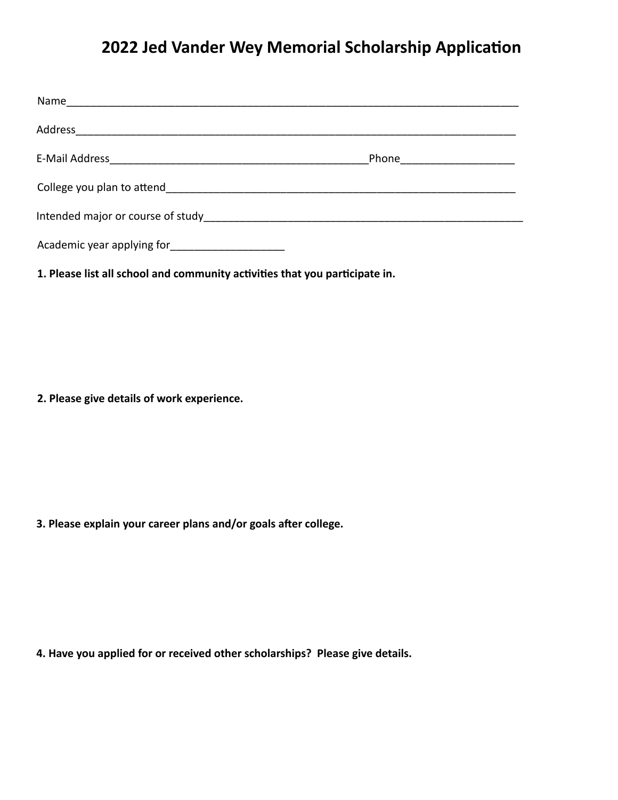## **2022 Jed Vander Wey Memorial Scholarship Application**

|                                                                                                                    | Phone <u>_______________</u> |
|--------------------------------------------------------------------------------------------------------------------|------------------------------|
|                                                                                                                    |                              |
| Intended major or course of study and the study and the study and the study of the study of the study of the study |                              |
| Academic year applying for                                                                                         |                              |

1. Please list all school and community activities that you participate in.

 **2. Please give details of work experience.** 

**3. Please explain your career plans and/or goals after college.** 

 **4. Have you applied for or received other scholarships? Please give details.**